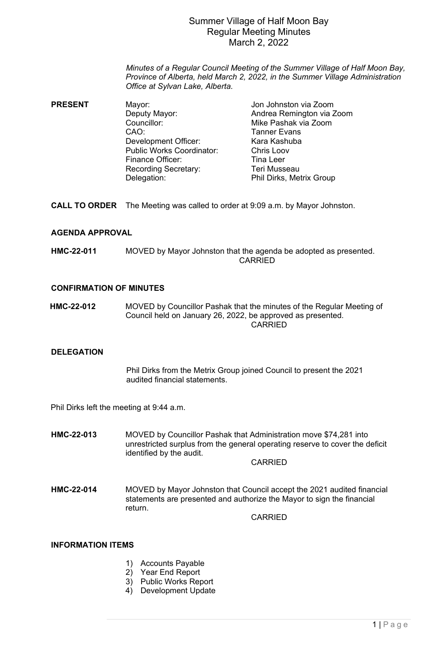## Summer Village of Half Moon Bay Regular Meeting Minutes March 2, 2022

*Minutes of a Regular Council Meeting of the Summer Village of Half Moon Bay, Province of Alberta, held March 2, 2022, in the Summer Village Administration Office at Sylvan Lake, Alberta.*

- **PRESENT** Mayor: Mayor: Jon Johnston via Zoom<br>Deputy Mayor: Andrea Remington via Z Andrea Remington via Zoom Councillor: Mike Pashak via Zoom CAO: Tanner Evans<br>Development Officer: The Kara Kashuba Development Officer: Kara Kashu<br>
Public Works Coordinator: Chris Loov Public Works Coordinator: Chris Loob<br>Finance Officer: Final eer Finance Officer: Tina Leer<br>
Recording Secretary: Teri Musseau Recording Secretary: Delegation: Phil Dirks, Metrix Group
- **CALL TO ORDER** The Meeting was called to order at 9:09 a.m. by Mayor Johnston.

## **AGENDA APPROVAL**

**HMC-22-011** MOVED by Mayor Johnston that the agenda be adopted as presented. CARRIED

### **CONFIRMATION OF MINUTES**

 **HMC-22-012** MOVED by Councillor Pashak that the minutes of the Regular Meeting of Council held on January 26, 2022, be approved as presented. CARRIED

## **DELEGATION**

Phil Dirks from the Metrix Group joined Council to present the 2021 audited financial statements.

Phil Dirks left the meeting at 9:44 a.m.

**HMC-22-013** MOVED by Councillor Pashak that Administration move \$74,281 into unrestricted surplus from the general operating reserve to cover the deficit identified by the audit.

CARRIED

**HMC-22-014** MOVED by Mayor Johnston that Council accept the 2021 audited financial statements are presented and authorize the Mayor to sign the financial return.

CARRIED

### **INFORMATION ITEMS**

- 1) Accounts Payable
- 2) Year End Report
- 3) Public Works Report
- 4) Development Update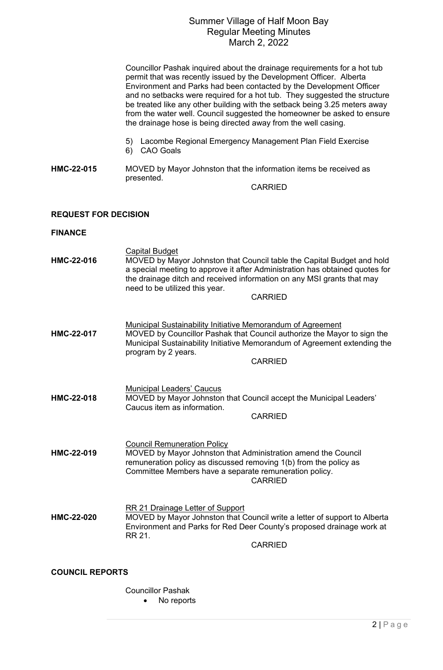# Summer Village of Half Moon Bay Regular Meeting Minutes March 2, 2022

|                             | Councillor Pashak inquired about the drainage requirements for a hot tub<br>permit that was recently issued by the Development Officer. Alberta<br>Environment and Parks had been contacted by the Development Officer<br>and no setbacks were required for a hot tub. They suggested the structure<br>be treated like any other building with the setback being 3.25 meters away<br>from the water well. Council suggested the homeowner be asked to ensure<br>the drainage hose is being directed away from the well casing. |
|-----------------------------|--------------------------------------------------------------------------------------------------------------------------------------------------------------------------------------------------------------------------------------------------------------------------------------------------------------------------------------------------------------------------------------------------------------------------------------------------------------------------------------------------------------------------------|
|                             | Lacombe Regional Emergency Management Plan Field Exercise<br>5)<br><b>CAO Goals</b><br>6)                                                                                                                                                                                                                                                                                                                                                                                                                                      |
| HMC-22-015                  | MOVED by Mayor Johnston that the information items be received as<br>presented.<br><b>CARRIED</b>                                                                                                                                                                                                                                                                                                                                                                                                                              |
| <b>REQUEST FOR DECISION</b> |                                                                                                                                                                                                                                                                                                                                                                                                                                                                                                                                |
| <b>FINANCE</b>              |                                                                                                                                                                                                                                                                                                                                                                                                                                                                                                                                |
| HMC-22-016                  | <b>Capital Budget</b><br>MOVED by Mayor Johnston that Council table the Capital Budget and hold<br>a special meeting to approve it after Administration has obtained quotes for<br>the drainage ditch and received information on any MSI grants that may<br>need to be utilized this year.                                                                                                                                                                                                                                    |
|                             | <b>CARRIED</b>                                                                                                                                                                                                                                                                                                                                                                                                                                                                                                                 |
| HMC-22-017                  | <b>Municipal Sustainability Initiative Memorandum of Agreement</b><br>MOVED by Councillor Pashak that Council authorize the Mayor to sign the<br>Municipal Sustainability Initiative Memorandum of Agreement extending the<br>program by 2 years.<br><b>CARRIED</b>                                                                                                                                                                                                                                                            |
| HMC-22-018                  | <b>Municipal Leaders' Caucus</b><br>MOVED by Mayor Johnston that Council accept the Municipal Leaders'<br>Caucus item as information.<br><b>CARRIED</b>                                                                                                                                                                                                                                                                                                                                                                        |
| HMC-22-019                  | <b>Council Remuneration Policy</b><br>MOVED by Mayor Johnston that Administration amend the Council<br>remuneration policy as discussed removing 1(b) from the policy as<br>Committee Members have a separate remuneration policy.<br><b>CARRIED</b>                                                                                                                                                                                                                                                                           |
| <b>HMC-22-020</b>           | <b>RR 21 Drainage Letter of Support</b><br>MOVED by Mayor Johnston that Council write a letter of support to Alberta<br>Environment and Parks for Red Deer County's proposed drainage work at<br>RR 21.<br><b>CARRIED</b>                                                                                                                                                                                                                                                                                                      |
| <b>COUNCIL REPORTS</b>      |                                                                                                                                                                                                                                                                                                                                                                                                                                                                                                                                |
|                             | <b>Councillor Pashak</b><br>No reports                                                                                                                                                                                                                                                                                                                                                                                                                                                                                         |